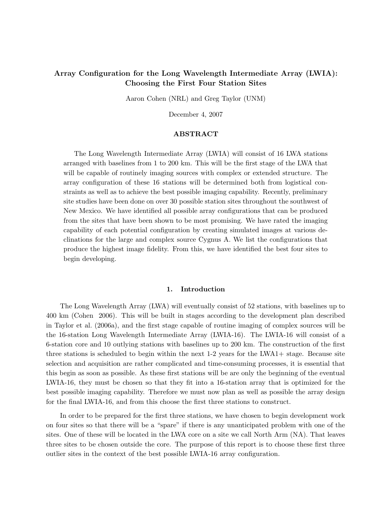# Array Configuration for the Long Wavelength Intermediate Array (LWIA): Choosing the First Four Station Sites

Aaron Cohen (NRL) and Greg Taylor (UNM)

December 4, 2007

## ABSTRACT

The Long Wavelength Intermediate Array (LWIA) will consist of 16 LWA stations arranged with baselines from 1 to 200 km. This will be the first stage of the LWA that will be capable of routinely imaging sources with complex or extended structure. The array configuration of these 16 stations will be determined both from logistical constraints as well as to achieve the best possible imaging capability. Recently, preliminary site studies have been done on over 30 possible station sites throughout the southwest of New Mexico. We have identified all possible array configurations that can be produced from the sites that have been shown to be most promising. We have rated the imaging capability of each potential configuration by creating simulated images at various declinations for the large and complex source Cygnus A. We list the configurations that produce the highest image fidelity. From this, we have identified the best four sites to begin developing.

## 1. Introduction

The Long Wavelength Array (LWA) will eventually consist of 52 stations, with baselines up to 400 km (Cohen 2006). This will be built in stages according to the development plan described in Taylor et al. (2006a), and the first stage capable of routine imaging of complex sources will be the 16-station Long Wavelength Intermediate Array (LWIA-16). The LWIA-16 will consist of a 6-station core and 10 outlying stations with baselines up to 200 km. The construction of the first three stations is scheduled to begin within the next  $1-2$  years for the LWA1+ stage. Because site selection and acquisition are rather complicated and time-consuming processes, it is essential that this begin as soon as possible. As these first stations will be are only the beginning of the eventual LWIA-16, they must be chosen so that they fit into a 16-station array that is optimized for the best possible imaging capability. Therefore we must now plan as well as possible the array design for the final LWIA-16, and from this choose the first three stations to construct.

In order to be prepared for the first three stations, we have chosen to begin development work on four sites so that there will be a "spare" if there is any unanticipated problem with one of the sites. One of these will be located in the LWA core on a site we call North Arm (NA). That leaves three sites to be chosen outside the core. The purpose of this report is to choose these first three outlier sites in the context of the best possible LWIA-16 array configuration.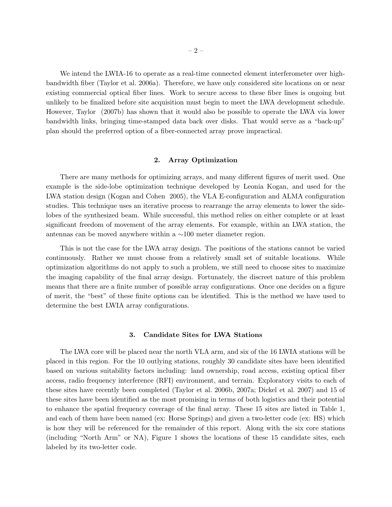We intend the LWIA-16 to operate as a real-time connected element interferometer over highbandwidth fiber (Taylor et al. 2006a). Therefore, we have only considered site locations on or near existing commercial optical fiber lines. Work to secure access to these fiber lines is ongoing but unlikely to be finalized before site acquisition must begin to meet the LWA development schedule. However, Taylor (2007b) has shown that it would also be possible to operate the LWA via lower bandwidth links, bringing time-stamped data back over disks. That would serve as a "back-up" plan should the preferred option of a fiber-connected array prove impractical.

#### 2. Array Optimization

There are many methods for optimizing arrays, and many different figures of merit used. One example is the side-lobe optimization technique developed by Leonia Kogan, and used for the LWA station design (Kogan and Cohen 2005), the VLA E-configuration and ALMA configuration studies. This technique uses an iterative process to rearrange the array elements to lower the sidelobes of the synthesized beam. While successful, this method relies on either complete or at least significant freedom of movement of the array elements. For example, within an LWA station, the antennas can be moved anywhere within a ∼100 meter diameter region.

This is not the case for the LWA array design. The positions of the stations cannot be varied continuously. Rather we must choose from a relatively small set of suitable locations. While optimization algorithms do not apply to such a problem, we still need to choose sites to maximize the imaging capability of the final array design. Fortunately, the discreet nature of this problem means that there are a finite number of possible array configurations. Once one decides on a figure of merit, the "best" of these finite options can be identified. This is the method we have used to determine the best LWIA array configurations.

### 3. Candidate Sites for LWA Stations

The LWA core will be placed near the north VLA arm, and six of the 16 LWIA stations will be placed in this region. For the 10 outlying stations, roughly 30 candidate sites have been identified based on various suitability factors including: land ownership, road access, existing optical fiber access, radio frequency interference (RFI) environment, and terrain. Exploratory visits to each of these sites have recently been completed (Taylor et al. 2006b, 2007a; Dickel et al. 2007) and 15 of these sites have been identified as the most promising in terms of both logistics and their potential to enhance the spatial frequency coverage of the final array. These 15 sites are listed in Table 1, and each of them have been named (ex: Horse Springs) and given a two-letter code (ex: HS) which is how they will be referenced for the remainder of this report. Along with the six core stations (including "North Arm" or NA), Figure 1 shows the locations of these 15 candidate sites, each labeled by its two-letter code.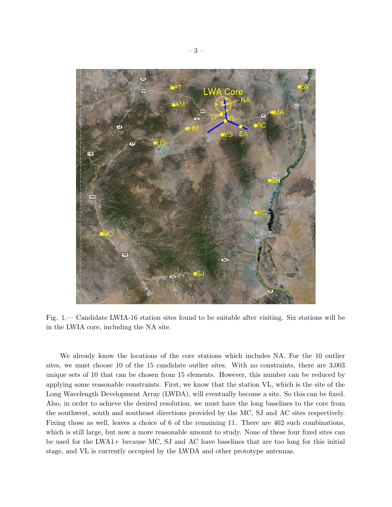

Fig. 1.— Candidate LWIA-16 station sites found to be suitable after visiting. Six stations will be in the LWIA core, including the NA site.

We already know the locations of the core stations which includes NA. For the 10 outlier sites, we must choose 10 of the 15 candidate outlier sites. With no constraints, there are 3,003 unique sets of 10 that can be chosen from 15 elements. However, this number can be reduced by applying some reasonable constraints. First, we know that the station VL, which is the site of the Long Wavelength Development Array (LWDA), will eventually become a site. So this can be fixed. Also, in order to achieve the desired resolution, we must have the long baselines to the core from the southwest, south and southeast directions provided by the MC, SJ and AC sites respectively. Fixing those as well, leaves a choice of 6 of the remaining 11. There are 462 such combinations, which is still large, but now a more reasonable amount to study. None of these four fixed sites can be used for the LWA1+ because MC, SJ and AC have baselines that are too long for this initial stage, and VL is currently occupied by the LWDA and other prototype antennas.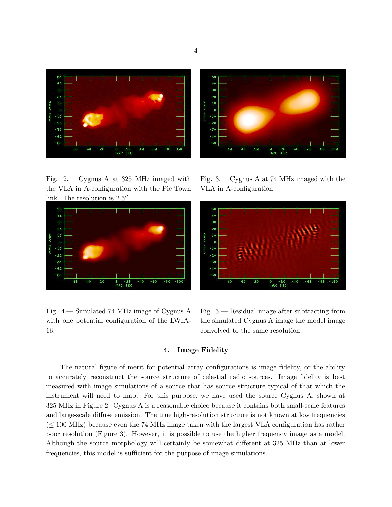

Fig. 2.— Cygnus A at 325 MHz imaged with the VLA in A-configuration with the Pie Town link. The resolution is  $2.5$ <sup> $\prime\prime$ </sup> .



Fig. 4.— Simulated 74 MHz image of Cygnus A with one potential configuration of the LWIA-16.

56 40 38 20 16 16 -28 - 38  $-40$ -50

Fig. 3.— Cygnus A at 74 MHz imaged with the VLA in A-configuration.



Fig. 5.— Residual image after subtracting from the simulated Cygnus A image the model image convolved to the same resolution.

# 4. Image Fidelity

The natural figure of merit for potential array configurations is image fidelity, or the ability to accurately reconstruct the source structure of celestial radio sources. Image fidelity is best measured with image simulations of a source that has source structure typical of that which the instrument will need to map. For this purpose, we have used the source Cygnus A, shown at 325 MHz in Figure 2. Cygnus A is a reasonable choice because it contains both small-scale features and large-scale diffuse emission. The true high-resolution structure is not known at low frequencies  $(\leq 100 \text{ MHz})$  because even the 74 MHz image taken with the largest VLA configuration has rather poor resolution (Figure 3). However, it is possible to use the higher frequency image as a model. Although the source morphology will certainly be somewhat different at 325 MHz than at lower frequencies, this model is sufficient for the purpose of image simulations.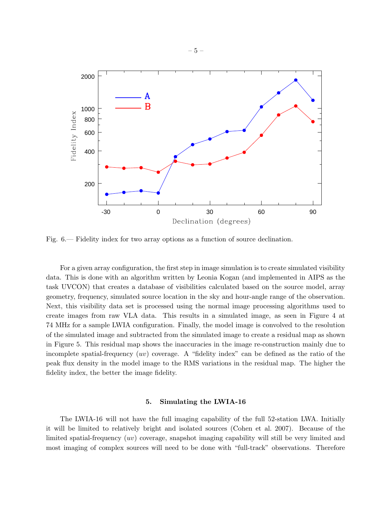

Fig. 6.— Fidelity index for two array options as a function of source declination.

For a given array configuration, the first step in image simulation is to create simulated visibility data. This is done with an algorithm written by Leonia Kogan (and implemented in AIPS as the task UVCON) that creates a database of visibilities calculated based on the source model, array geometry, frequency, simulated source location in the sky and hour-angle range of the observation. Next, this visibility data set is processed using the normal image processing algorithms used to create images from raw VLA data. This results in a simulated image, as seen in Figure 4 at 74 MHz for a sample LWIA configuration. Finally, the model image is convolved to the resolution of the simulated image and subtracted from the simulated image to create a residual map as shown in Figure 5. This residual map shows the inaccuracies in the image re-construction mainly due to incomplete spatial-frequency  $(uv)$  coverage. A "fidelity index" can be defined as the ratio of the peak flux density in the model image to the RMS variations in the residual map. The higher the fidelity index, the better the image fidelity.

#### 5. Simulating the LWIA-16

The LWIA-16 will not have the full imaging capability of the full 52-station LWA. Initially it will be limited to relatively bright and isolated sources (Cohen et al. 2007). Because of the limited spatial-frequency (uv) coverage, snapshot imaging capability will still be very limited and most imaging of complex sources will need to be done with "full-track" observations. Therefore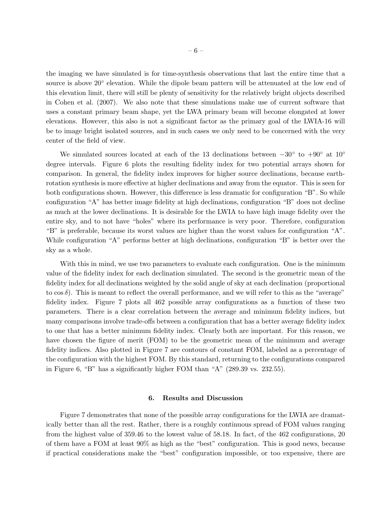the imaging we have simulated is for time-synthesis observations that last the entire time that a source is above 20° elevation. While the dipole beam pattern will be attenuated at the low end of this elevation limit, there will still be plenty of sensitivity for the relatively bright objects described in Cohen et al. (2007). We also note that these simulations make use of current software that uses a constant primary beam shape, yet the LWA primary beam will become elongated at lower elevations. However, this also is not a significant factor as the primary goal of the LWIA-16 will be to image bright isolated sources, and in such cases we only need to be concerned with the very center of the field of view.

We simulated sources located at each of the 13 declinations between  $-30°$  to  $+90°$  at  $10°$ degree intervals. Figure 6 plots the resulting fidelity index for two potential arrays shown for comparison. In general, the fidelity index improves for higher source declinations, because earthrotation synthesis is more effective at higher declinations and away from the equator. This is seen for both configurations shown. However, this difference is less dramatic for configuration "B". So while configuration "A" has better image fidelity at high declinations, configuration "B" does not decline as much at the lower declinations. It is desirable for the LWIA to have high image fidelity over the entire sky, and to not have "holes" where its performance is very poor. Therefore, configuration "B" is preferable, because its worst values are higher than the worst values for configuration "A". While configuration "A" performs better at high declinations, configuration "B" is better over the sky as a whole.

With this in mind, we use two parameters to evaluate each configuration. One is the minimum value of the fidelity index for each declination simulated. The second is the geometric mean of the fidelity index for all declinations weighted by the solid angle of sky at each declination (proportional to  $\cos \delta$ ). This is meant to reflect the overall performance, and we will refer to this as the "average" fidelity index. Figure 7 plots all 462 possible array configurations as a function of these two parameters. There is a clear correlation between the average and minimum fidelity indices, but many comparisons involve trade-offs between a configuration that has a better average fidelity index to one that has a better minimum fidelity index. Clearly both are important. For this reason, we have chosen the figure of merit (FOM) to be the geometric mean of the minimum and average fidelity indices. Also plotted in Figure 7 are contours of constant FOM, labeled as a percentage of the configuration with the highest FOM. By this standard, returning to the configurations compared in Figure 6, "B" has a significantly higher FOM than "A" (289.39 vs. 232.55).

#### 6. Results and Discussion

Figure 7 demonstrates that none of the possible array configurations for the LWIA are dramatically better than all the rest. Rather, there is a roughly continuous spread of FOM values ranging from the highest value of 359.46 to the lowest value of 58.18. In fact, of the 462 configurations, 20 of them have a FOM at least 90% as high as the "best" configuration. This is good news, because if practical considerations make the "best" configuration impossible, or too expensive, there are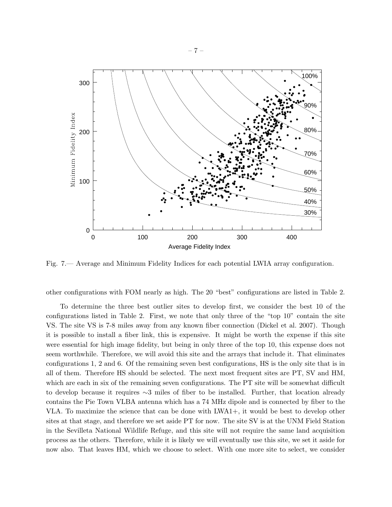

Fig. 7.— Average and Minimum Fidelity Indices for each potential LWIA array configuration.

other configurations with FOM nearly as high. The 20 "best" configurations are listed in Table 2.

To determine the three best outlier sites to develop first, we consider the best 10 of the configurations listed in Table 2. First, we note that only three of the "top 10" contain the site VS. The site VS is 7-8 miles away from any known fiber connection (Dickel et al. 2007). Though it is possible to install a fiber link, this is expensive. It might be worth the expense if this site were essential for high image fidelity, but being in only three of the top 10, this expense does not seem worthwhile. Therefore, we will avoid this site and the arrays that include it. That eliminates configurations 1, 2 and 6. Of the remaining seven best configurations, HS is the only site that is in all of them. Therefore HS should be selected. The next most frequent sites are PT, SV and HM, which are each in six of the remaining seven configurations. The PT site will be somewhat difficult to develop because it requires ∼3 miles of fiber to be installed. Further, that location already contains the Pie Town VLBA antenna which has a 74 MHz dipole and is connected by fiber to the VLA. To maximize the science that can be done with LWA1+, it would be best to develop other sites at that stage, and therefore we set aside PT for now. The site SV is at the UNM Field Station in the Sevilleta National Wildlife Refuge, and this site will not require the same land acquisition process as the others. Therefore, while it is likely we will eventually use this site, we set it aside for now also. That leaves HM, which we choose to select. With one more site to select, we consider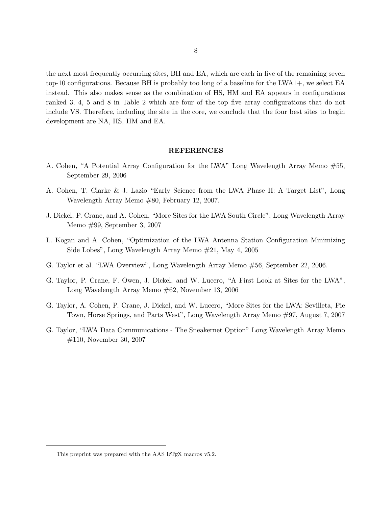the next most frequently occurring sites, BH and EA, which are each in five of the remaining seven top-10 configurations. Because BH is probably too long of a baseline for the LWA1+, we select EA instead. This also makes sense as the combination of HS, HM and EA appears in configurations ranked 3, 4, 5 and 8 in Table 2 which are four of the top five array configurations that do not include VS. Therefore, including the site in the core, we conclude that the four best sites to begin development are NA, HS, HM and EA.

## REFERENCES

- A. Cohen, "A Potential Array Configuration for the LWA" Long Wavelength Array Memo #55, September 29, 2006
- A. Cohen, T. Clarke & J. Lazio "Early Science from the LWA Phase II: A Target List", Long Wavelength Array Memo #80, February 12, 2007.
- J. Dickel, P. Crane, and A. Cohen, "More Sites for the LWA South Circle", Long Wavelength Array Memo #99, September 3, 2007
- L. Kogan and A. Cohen, "Optimization of the LWA Antenna Station Configuration Minimizing Side Lobes", Long Wavelength Array Memo #21, May 4, 2005
- G. Taylor et al. "LWA Overview", Long Wavelength Array Memo #56, September 22, 2006.
- G. Taylor, P. Crane, F. Owen, J. Dickel, and W. Lucero, "A First Look at Sites for the LWA", Long Wavelength Array Memo #62, November 13, 2006
- G. Taylor, A. Cohen, P. Crane, J. Dickel, and W. Lucero, "More Sites for the LWA: Sevilleta, Pie Town, Horse Springs, and Parts West", Long Wavelength Array Memo #97, August 7, 2007
- G. Taylor, "LWA Data Communications The Sneakernet Option" Long Wavelength Array Memo #110, November 30, 2007

This preprint was prepared with the AAS IATEX macros v5.2.